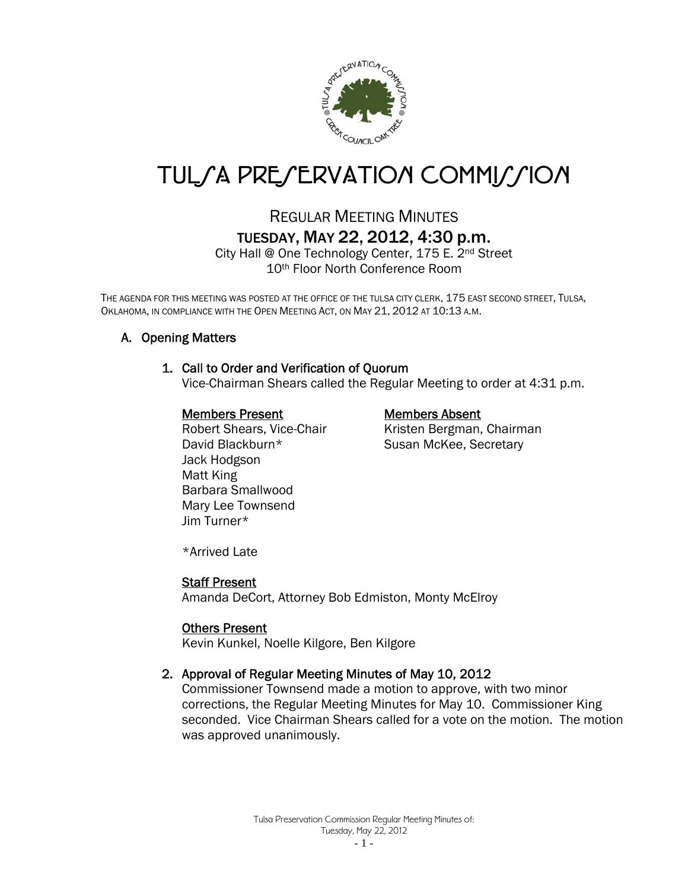

# TUL*SA PRESERVATION COMMISSION*

# REGULAR MEETING MINUTES TUESDAY, MAY 22, 2012, 4:30 p.m.

City Hall @ One Technology Center, 175 E. 2nd Street 10th Floor North Conference Room

THE AGENDA FOR THIS MEETING WAS POSTED AT THE OFFICE OF THE TULSA CITY CLERK, 175 EAST SECOND STREET, TULSA, OKLAHOMA, IN COMPLIANCE WITH THE OPEN MEETING ACT, ON MAY 21, 2012 AT 10:13 A.M.

# A. Opening Matters

#### 1. Call to Order and Verification of Quorum

Vice-Chairman Shears called the Regular Meeting to order at 4:31 p.m.

#### Members Present Members Absent

David Blackburn\* Susan McKee, Secretary Jack Hodgson Matt King Barbara Smallwood Mary Lee Townsend Jim Turner\*

Robert Shears, Vice-Chair Kristen Bergman, Chairman

\*Arrived Late

#### Staff Present

Amanda DeCort, Attorney Bob Edmiston, Monty McElroy

#### Others Present

Kevin Kunkel, Noelle Kilgore, Ben Kilgore

#### 2. Approval of Regular Meeting Minutes of May 10, 2012

Commissioner Townsend made a motion to approve, with two minor corrections, the Regular Meeting Minutes for May 10. Commissioner King seconded. Vice Chairman Shears called for a vote on the motion. The motion was approved unanimously.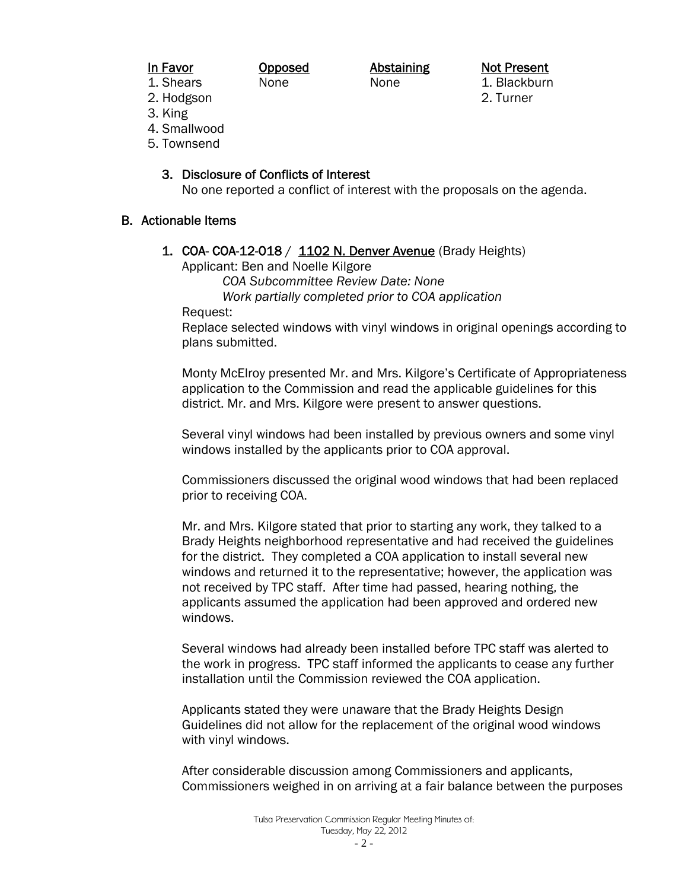In Favor **Opposed** Abstaining Not Present

1. Shears None None None 1. Blackburn

2. Hodgson 2. Turner

- 3. King
- 4. Smallwood
- 5. Townsend

### 3. Disclosure of Conflicts of Interest

No one reported a conflict of interest with the proposals on the agenda.

#### B. Actionable Items

1. COA- COA-12-018 / 1102 N. Denver Avenue (Brady Heights)

Applicant: Ben and Noelle Kilgore

 *COA Subcommittee Review Date: None* 

 *Work partially completed prior to COA application*

Request:

 Replace selected windows with vinyl windows in original openings according to plans submitted.

Monty McElroy presented Mr. and Mrs. Kilgore's Certificate of Appropriateness application to the Commission and read the applicable guidelines for this district. Mr. and Mrs. Kilgore were present to answer questions.

Several vinyl windows had been installed by previous owners and some vinyl windows installed by the applicants prior to COA approval.

Commissioners discussed the original wood windows that had been replaced prior to receiving COA.

Mr. and Mrs. Kilgore stated that prior to starting any work, they talked to a Brady Heights neighborhood representative and had received the guidelines for the district. They completed a COA application to install several new windows and returned it to the representative; however, the application was not received by TPC staff. After time had passed, hearing nothing, the applicants assumed the application had been approved and ordered new windows.

Several windows had already been installed before TPC staff was alerted to the work in progress. TPC staff informed the applicants to cease any further installation until the Commission reviewed the COA application.

Applicants stated they were unaware that the Brady Heights Design Guidelines did not allow for the replacement of the original wood windows with vinyl windows.

After considerable discussion among Commissioners and applicants, Commissioners weighed in on arriving at a fair balance between the purposes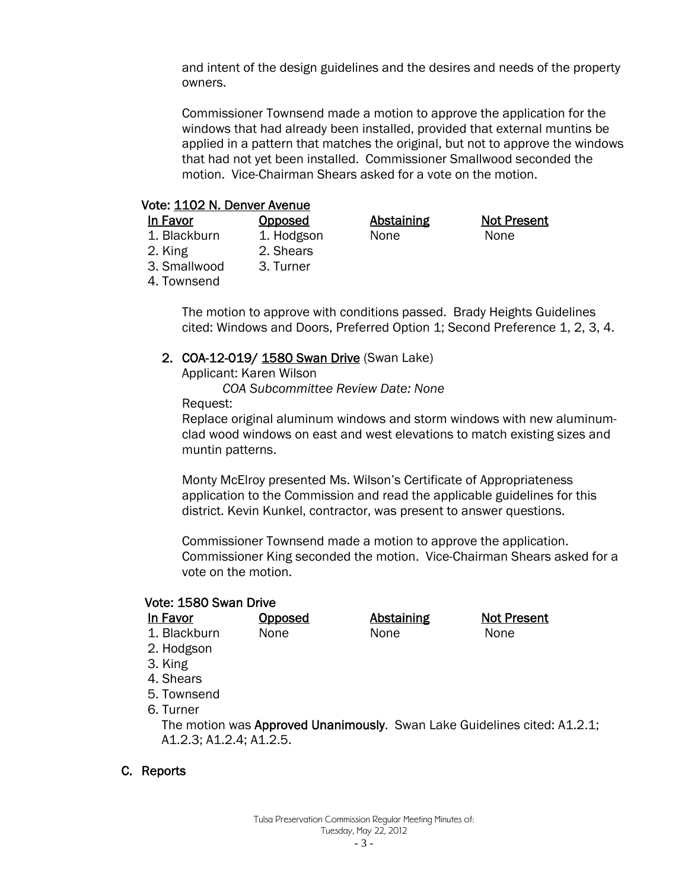and intent of the design guidelines and the desires and needs of the property owners.

Commissioner Townsend made a motion to approve the application for the windows that had already been installed, provided that external muntins be applied in a pattern that matches the original, but not to approve the windows that had not yet been installed. Commissioner Smallwood seconded the motion. Vice-Chairman Shears asked for a vote on the motion.

#### Vote: 1102 N. Denver Avenue

| In Favor     | <b>Opposed</b> | <b>Abstaining</b> | <b>Not Present</b> |
|--------------|----------------|-------------------|--------------------|
| 1. Blackburn | 1. Hodgson     | None              | None               |
| 2. King      | 2. Shears      |                   |                    |
| 3. Smallwood | 3. Turner      |                   |                    |
| 4. Townsend  |                |                   |                    |

The motion to approve with conditions passed. Brady Heights Guidelines cited: Windows and Doors, Preferred Option 1; Second Preference 1, 2, 3, 4.

#### 2. COA-12-019/ 1580 Swan Drive (Swan Lake)

Applicant: Karen Wilson

 *COA Subcommittee Review Date: None* 

Request:

 Replace original aluminum windows and storm windows with new aluminum clad wood windows on east and west elevations to match existing sizes and muntin patterns.

Monty McElroy presented Ms. Wilson's Certificate of Appropriateness application to the Commission and read the applicable guidelines for this district. Kevin Kunkel, contractor, was present to answer questions.

Commissioner Townsend made a motion to approve the application. Commissioner King seconded the motion. Vice-Chairman Shears asked for a vote on the motion.

# Vote: 1580 Swan Drive

| In Favor                | Opposed | Abstaining | <b>Not Present</b>                                                       |  |
|-------------------------|---------|------------|--------------------------------------------------------------------------|--|
| 1. Blackburn            | None    | None       | None                                                                     |  |
| 2. Hodgson              |         |            |                                                                          |  |
| 3. King                 |         |            |                                                                          |  |
| 4. Shears               |         |            |                                                                          |  |
| 5. Townsend             |         |            |                                                                          |  |
| 6. Turner               |         |            |                                                                          |  |
|                         |         |            | The motion was Approved Unanimously. Swan Lake Guidelines cited: A1.2.1; |  |
| A1.2.3; A1.2.4; A1.2.5. |         |            |                                                                          |  |

#### C. Reports